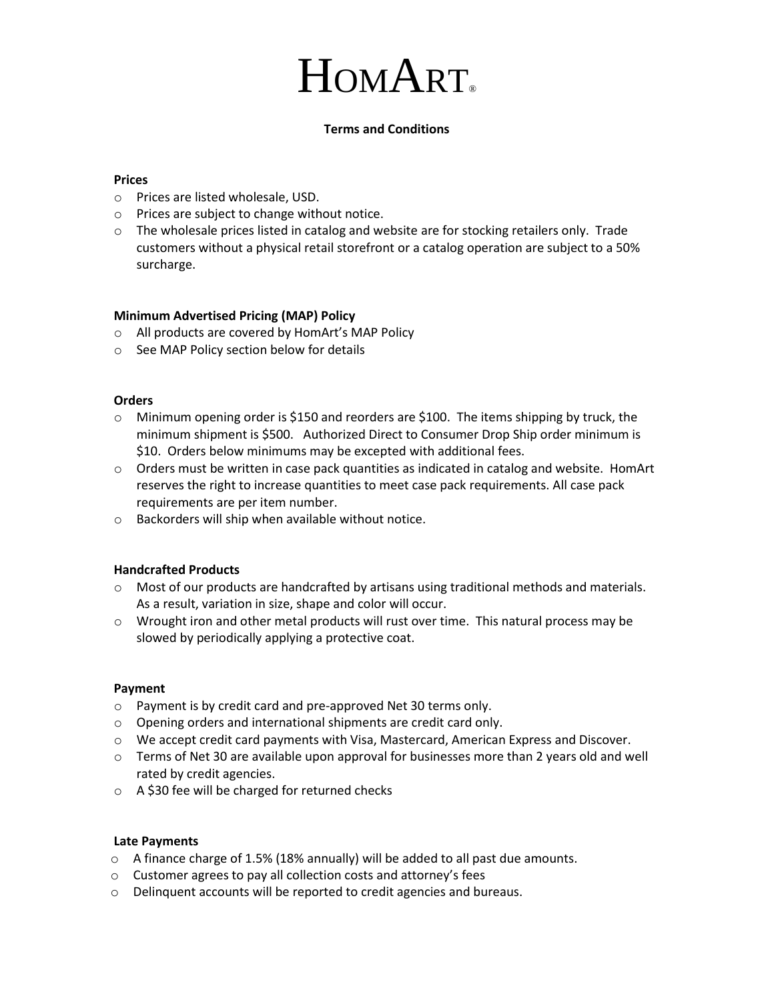# HOMART.

# **Terms and Conditions**

## **Prices**

- o Prices are listed wholesale, USD.
- o Prices are subject to change without notice.
- $\circ$  The wholesale prices listed in catalog and website are for stocking retailers only. Trade customers without a physical retail storefront or a catalog operation are subject to a 50% surcharge.

### **Minimum Advertised Pricing (MAP) Policy**

- o All products are covered by HomArt's MAP Policy
- o See MAP Policy section below for details

#### **Orders**

- $\circ$  Minimum opening order is \$150 and reorders are \$100. The items shipping by truck, the minimum shipment is \$500. Authorized Direct to Consumer Drop Ship order minimum is \$10. Orders below minimums may be excepted with additional fees.
- $\circ$  Orders must be written in case pack quantities as indicated in catalog and website. HomArt reserves the right to increase quantities to meet case pack requirements. All case pack requirements are per item number.
- o Backorders will ship when available without notice.

# **Handcrafted Products**

- o Most of our products are handcrafted by artisans using traditional methods and materials. As a result, variation in size, shape and color will occur.
- $\circ$  Wrought iron and other metal products will rust over time. This natural process may be slowed by periodically applying a protective coat.

#### **Payment**

- o Payment is by credit card and pre-approved Net 30 terms only.
- o Opening orders and international shipments are credit card only.
- o We accept credit card payments with Visa, Mastercard, American Express and Discover.
- o Terms of Net 30 are available upon approval for businesses more than 2 years old and well rated by credit agencies.
- o A \$30 fee will be charged for returned checks

#### **Late Payments**

- $\circ$  A finance charge of 1.5% (18% annually) will be added to all past due amounts.
- o Customer agrees to pay all collection costs and attorney's fees
- o Delinquent accounts will be reported to credit agencies and bureaus.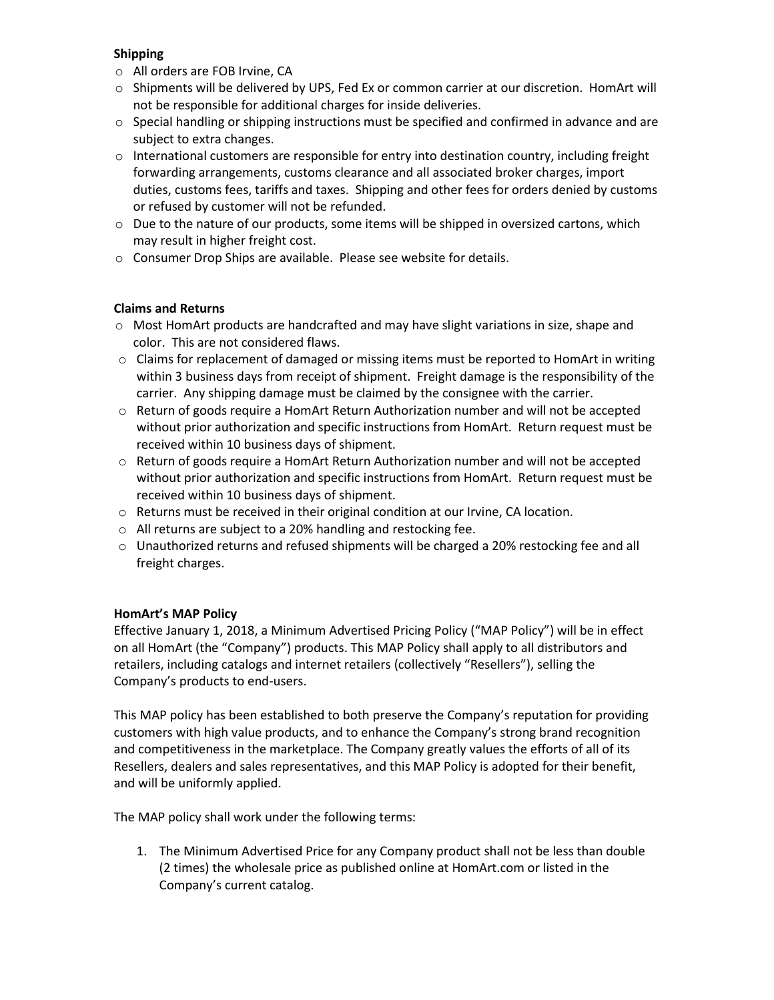# **Shipping**

- o All orders are FOB Irvine, CA
- o Shipments will be delivered by UPS, Fed Ex or common carrier at our discretion. HomArt will not be responsible for additional charges for inside deliveries.
- $\circ$  Special handling or shipping instructions must be specified and confirmed in advance and are subject to extra changes.
- $\circ$  International customers are responsible for entry into destination country, including freight forwarding arrangements, customs clearance and all associated broker charges, import duties, customs fees, tariffs and taxes. Shipping and other fees for orders denied by customs or refused by customer will not be refunded.
- $\circ$  Due to the nature of our products, some items will be shipped in oversized cartons, which may result in higher freight cost.
- o Consumer Drop Ships are available. Please see website for details.

# **Claims and Returns**

- o Most HomArt products are handcrafted and may have slight variations in size, shape and color. This are not considered flaws.
- $\circ$  Claims for replacement of damaged or missing items must be reported to HomArt in writing within 3 business days from receipt of shipment. Freight damage is the responsibility of the carrier. Any shipping damage must be claimed by the consignee with the carrier.
- o Return of goods require a HomArt Return Authorization number and will not be accepted without prior authorization and specific instructions from HomArt. Return request must be received within 10 business days of shipment.
- $\circ$  Return of goods require a HomArt Return Authorization number and will not be accepted without prior authorization and specific instructions from HomArt. Return request must be received within 10 business days of shipment.
- o Returns must be received in their original condition at our Irvine, CA location.
- o All returns are subject to a 20% handling and restocking fee.
- o Unauthorized returns and refused shipments will be charged a 20% restocking fee and all freight charges.

# **HomArt's MAP Policy**

Effective January 1, 2018, a Minimum Advertised Pricing Policy ("MAP Policy") will be in effect on all HomArt (the "Company") products. This MAP Policy shall apply to all distributors and retailers, including catalogs and internet retailers (collectively "Resellers"), selling the Company's products to end-users.

This MAP policy has been established to both preserve the Company's reputation for providing customers with high value products, and to enhance the Company's strong brand recognition and competitiveness in the marketplace. The Company greatly values the efforts of all of its Resellers, dealers and sales representatives, and this MAP Policy is adopted for their benefit, and will be uniformly applied.

The MAP policy shall work under the following terms:

1. The Minimum Advertised Price for any Company product shall not be less than double (2 times) the wholesale price as published online at HomArt.com or listed in the Company's current catalog.